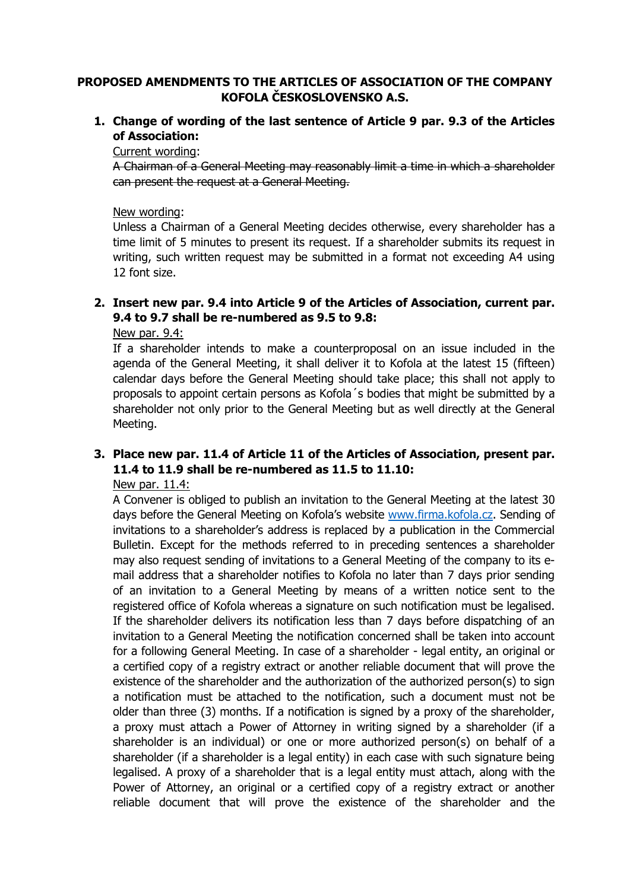## **PROPOSED AMENDMENTS TO THE ARTICLES OF ASSOCIATION OF THE COMPANY KOFOLA ČESKOSLOVENSKO A.S.**

**1. Change of wording of the last sentence of Article 9 par. 9.3 of the Articles of Association:**

Current wording:

A Chairman of a General Meeting may reasonably limit a time in which a shareholder can present the request at a General Meeting.

#### New wording:

Unless a Chairman of a General Meeting decides otherwise, every shareholder has a time limit of 5 minutes to present its request. If a shareholder submits its request in writing, such written request may be submitted in a format not exceeding A4 using 12 font size.

### **2. Insert new par. 9.4 into Article 9 of the Articles of Association, current par. 9.4 to 9.7 shall be re-numbered as 9.5 to 9.8:**

New par. 9.4:

If a shareholder intends to make a counterproposal on an issue included in the agenda of the General Meeting, it shall deliver it to Kofola at the latest 15 (fifteen) calendar days before the General Meeting should take place; this shall not apply to proposals to appoint certain persons as Kofola´s bodies that might be submitted by a shareholder not only prior to the General Meeting but as well directly at the General Meeting.

## **3. Place new par. 11.4 of Article 11 of the Articles of Association, present par. 11.4 to 11.9 shall be re-numbered as 11.5 to 11.10:**

#### New par. 11.4:

A Convener is obliged to publish an invitation to the General Meeting at the latest 30 days before the General Meeting on Kofola's website [www.firma.kofola.cz.](http://www.firma.kofola.cz/) Sending of invitations to a shareholder's address is replaced by a publication in the Commercial Bulletin. Except for the methods referred to in preceding sentences a shareholder may also request sending of invitations to a General Meeting of the company to its email address that a shareholder notifies to Kofola no later than 7 days prior sending of an invitation to a General Meeting by means of a written notice sent to the registered office of Kofola whereas a signature on such notification must be legalised. If the shareholder delivers its notification less than 7 days before dispatching of an invitation to a General Meeting the notification concerned shall be taken into account for a following General Meeting. In case of a shareholder - legal entity, an original or a certified copy of a registry extract or another reliable document that will prove the existence of the shareholder and the authorization of the authorized person(s) to sign a notification must be attached to the notification, such a document must not be older than three (3) months. If a notification is signed by a proxy of the shareholder, a proxy must attach a Power of Attorney in writing signed by a shareholder (if a shareholder is an individual) or one or more authorized person(s) on behalf of a shareholder (if a shareholder is a legal entity) in each case with such signature being legalised. A proxy of a shareholder that is a legal entity must attach, along with the Power of Attorney, an original or a certified copy of a registry extract or another reliable document that will prove the existence of the shareholder and the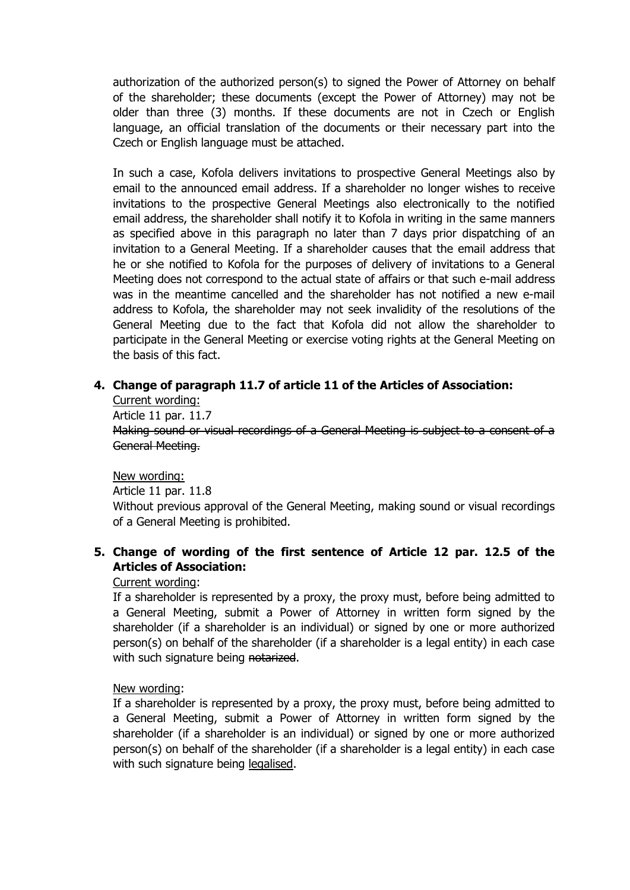authorization of the authorized person(s) to signed the Power of Attorney on behalf of the shareholder; these documents (except the Power of Attorney) may not be older than three (3) months. If these documents are not in Czech or English language, an official translation of the documents or their necessary part into the Czech or English language must be attached.

In such a case, Kofola delivers invitations to prospective General Meetings also by email to the announced email address. If a shareholder no longer wishes to receive invitations to the prospective General Meetings also electronically to the notified email address, the shareholder shall notify it to Kofola in writing in the same manners as specified above in this paragraph no later than 7 days prior dispatching of an invitation to a General Meeting. If a shareholder causes that the email address that he or she notified to Kofola for the purposes of delivery of invitations to a General Meeting does not correspond to the actual state of affairs or that such e-mail address was in the meantime cancelled and the shareholder has not notified a new e-mail address to Kofola, the shareholder may not seek invalidity of the resolutions of the General Meeting due to the fact that Kofola did not allow the shareholder to participate in the General Meeting or exercise voting rights at the General Meeting on the basis of this fact.

## **4. Change of paragraph 11.7 of article 11 of the Articles of Association:**

Current wording: Article 11 par. 11.7 Making sound or visual recordings of a General Meeting is subject to a consent of a General Meeting.

New wording:

Article 11 par. 11.8

Without previous approval of the General Meeting, making sound or visual recordings of a General Meeting is prohibited.

# **5. Change of wording of the first sentence of Article 12 par. 12.5 of the Articles of Association:**

## Current wording:

If a shareholder is represented by a proxy, the proxy must, before being admitted to a General Meeting, submit a Power of Attorney in written form signed by the shareholder (if a shareholder is an individual) or signed by one or more authorized person(s) on behalf of the shareholder (if a shareholder is a legal entity) in each case with such signature being notarized.

## New wording:

If a shareholder is represented by a proxy, the proxy must, before being admitted to a General Meeting, submit a Power of Attorney in written form signed by the shareholder (if a shareholder is an individual) or signed by one or more authorized person(s) on behalf of the shareholder (if a shareholder is a legal entity) in each case with such signature being legalised.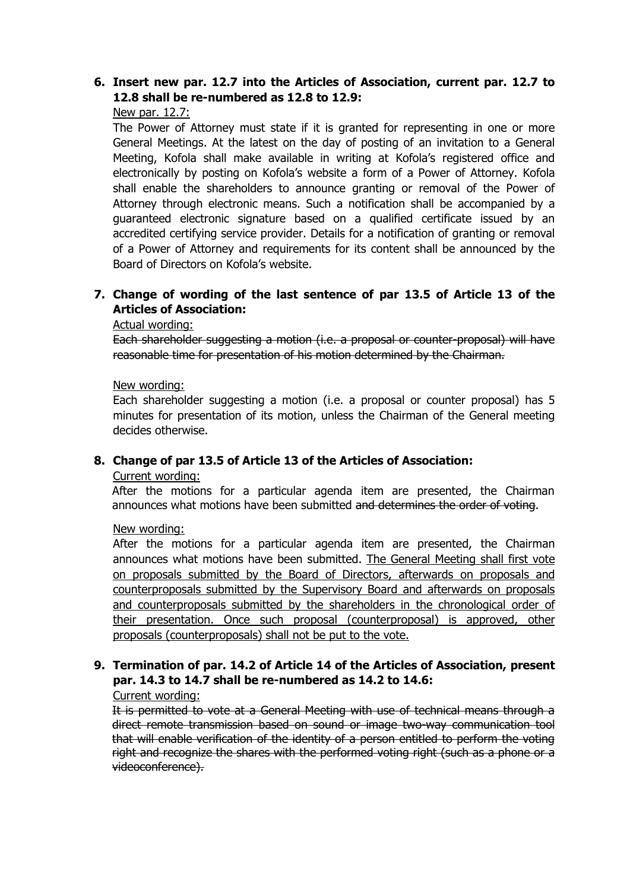## **6. Insert new par. 12.7 into the Articles of Association, current par. 12.7 to 12.8 shall be re-numbered as 12.8 to 12.9:**

#### New par. 12.7:

The Power of Attorney must state if it is granted for representing in one or more General Meetings. At the latest on the day of posting of an invitation to a General Meeting, Kofola shall make available in writing at Kofola's registered office and electronically by posting on Kofola's website a form of a Power of Attorney. Kofola shall enable the shareholders to announce granting or removal of the Power of Attorney through electronic means. Such a notification shall be accompanied by a guaranteed electronic signature based on a qualified certificate issued by an accredited certifying service provider. Details for a notification of granting or removal of a Power of Attorney and requirements for its content shall be announced by the Board of Directors on Kofola's website.

# **7. Change of wording of the last sentence of par 13.5 of Article 13 of the Articles of Association:**

#### Actual wording:

Each shareholder suggesting a motion (i.e. a proposal or counter-proposal) will have reasonable time for presentation of his motion determined by the Chairman.

#### New wording:

Each shareholder suggesting a motion (i.e. a proposal or counter proposal) has 5 minutes for presentation of its motion, unless the Chairman of the General meeting decides otherwise.

## **8. Change of par 13.5 of Article 13 of the Articles of Association:**

#### Current wording:

After the motions for a particular agenda item are presented, the Chairman announces what motions have been submitted and determines the order of voting.

New wording:

After the motions for a particular agenda item are presented, the Chairman announces what motions have been submitted. The General Meeting shall first vote on proposals submitted by the Board of Directors, afterwards on proposals and counterproposals submitted by the Supervisory Board and afterwards on proposals and counterproposals submitted by the shareholders in the chronological order of their presentation. Once such proposal (counterproposal) is approved, other proposals (counterproposals) shall not be put to the vote.

# **9. Termination of par. 14.2 of Article 14 of the Articles of Association, present par. 14.3 to 14.7 shall be re-numbered as 14.2 to 14.6:**

#### Current wording:

It is permitted to vote at a General Meeting with use of technical means through a direct remote transmission based on sound or image two-way communication tool that will enable verification of the identity of a person entitled to perform the voting right and recognize the shares with the performed voting right (such as a phone or a videoconference).